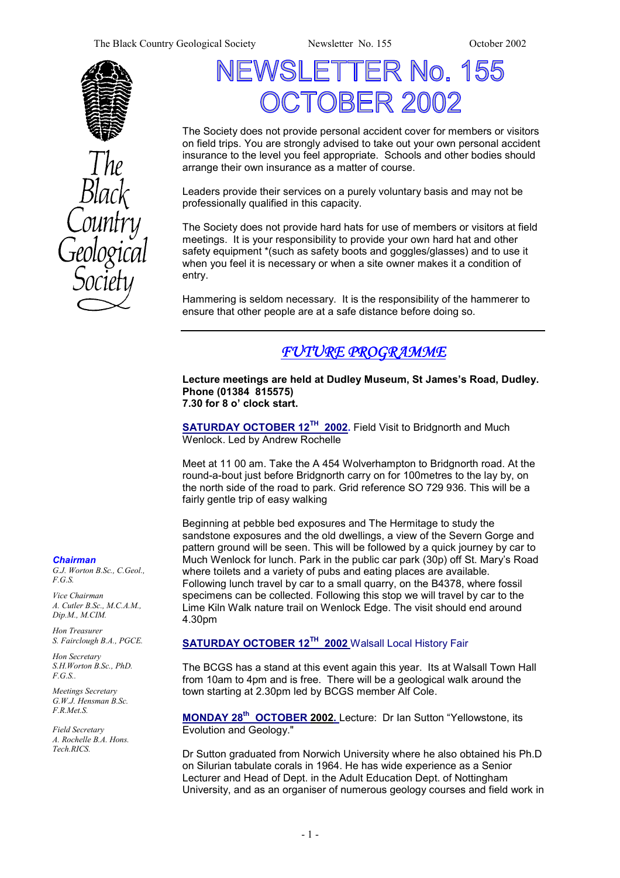The Black Country Geological Society Newsletter No. 155 October 2002





# TER No. 155 )RFR 21

The Society does not provide personal accident cover for members or visitors on field trips. You are strongly advised to take out your own personal accident insurance to the level you feel appropriate. Schools and other bodies should arrange their own insurance as a matter of course.

Leaders provide their services on a purely voluntary basis and may not be professionally qualified in this capacity.

The Society does not provide hard hats for use of members or visitors at field meetings. It is your responsibility to provide your own hard hat and other safety equipment \*(such as safety boots and goggles/glasses) and to use it when you feel it is necessary or when a site owner makes it a condition of entry.

Hammering is seldom necessary. It is the responsibility of the hammerer to ensure that other people are at a safe distance before doing so.

## *FUTURE PROGRAMME*

**Lecture meetings are held at Dudley Museum, St James's Road, Dudley. Phone (01384 815575) 7.30 for 8 o' clock start.** 

**SATURDAY OCTOBER 12<sup>TH</sup> 2002.** Field Visit to Bridgnorth and Much Wenlock. Led by Andrew Rochelle

Meet at 11 00 am. Take the A 454 Wolverhampton to Bridgnorth road. At the round-a-bout just before Bridgnorth carry on for 100metres to the lay by, on the north side of the road to park. Grid reference SO 729 936. This will be a fairly gentle trip of easy walking

Beginning at pebble bed exposures and The Hermitage to study the sandstone exposures and the old dwellings, a view of the Severn Gorge and pattern ground will be seen. This will be followed by a quick journey by car to Much Wenlock for lunch. Park in the public car park (30p) off St. Mary's Road where toilets and a variety of pubs and eating places are available. Following lunch travel by car to a small quarry, on the B4378, where fossil specimens can be collected. Following this stop we will travel by car to the Lime Kiln Walk nature trail on Wenlock Edge. The visit should end around 4.30pm

#### **SATURDAY OCTOBER 12TH 2002** Walsall Local History Fair

The BCGS has a stand at this event again this year. Its at Walsall Town Hall from 10am to 4pm and is free. There will be a geological walk around the town starting at 2.30pm led by BCGS member Alf Cole.

**MONDAY 28th OCTOBER 2002.** Lecture: Dr Ian Sutton "Yellowstone, its Evolution and Geology."

Dr Sutton graduated from Norwich University where he also obtained his Ph.D on Silurian tabulate corals in 1964. He has wide experience as a Senior Lecturer and Head of Dept. in the Adult Education Dept. of Nottingham University, and as an organiser of numerous geology courses and field work in

#### *Chairman*

*G.J. Worton B.Sc., C.Geol., F.G.S.* 

*Vice Chairman A. Cutler B.Sc., M.C.A.M., Dip.M., M.CIM.* 

*Hon Treasurer S. Fairclough B.A., PGCE.* 

*Hon Secretary S.H.Worton B.Sc., PhD. F.G.S..* 

*Meetings Secretary G.W.J. Hensman B.Sc. F.R.Met.S.* 

*Field Secretary A. Rochelle B.A. Hons. Tech.RICS.*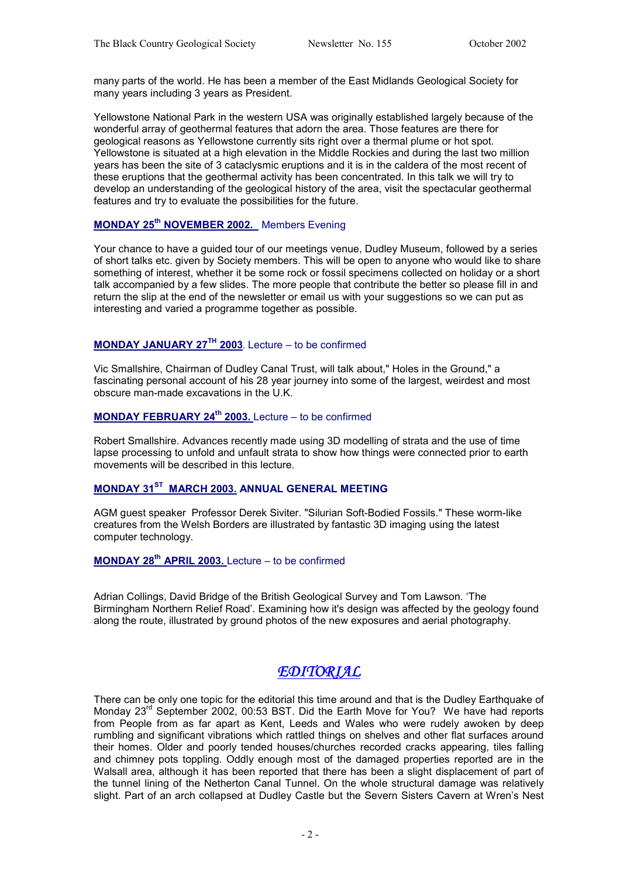many parts of the world. He has been a member of the East Midlands Geological Society for many years including 3 years as President.

Yellowstone National Park in the western USA was originally established largely because of the wonderful array of geothermal features that adorn the area. Those features are there for geological reasons as Yellowstone currently sits right over a thermal plume or hot spot. Yellowstone is situated at a high elevation in the Middle Rockies and during the last two million years has been the site of 3 cataclysmic eruptions and it is in the caldera of the most recent of these eruptions that the geothermal activity has been concentrated. In this talk we will try to develop an understanding of the geological history of the area, visit the spectacular geothermal features and try to evaluate the possibilities for the future.

#### **MONDAY 25th NOVEMBER 2002.** Members Evening

Your chance to have a guided tour of our meetings venue, Dudley Museum, followed by a series of short talks etc. given by Society members. This will be open to anyone who would like to share something of interest, whether it be some rock or fossil specimens collected on holiday or a short talk accompanied by a few slides. The more people that contribute the better so please fill in and return the slip at the end of the newsletter or email us with your suggestions so we can put as interesting and varied a programme together as possible.

#### **MONDAY JANUARY 27TH 2003**. Lecture – to be confirmed

Vic Smallshire, Chairman of Dudley Canal Trust, will talk about," Holes in the Ground," a fascinating personal account of his 28 year journey into some of the largest, weirdest and most obscure man-made excavations in the U.K.

#### **MONDAY FEBRUARY 24<sup>th</sup> 2003.** Lecture – to be confirmed

Robert Smallshire. Advances recently made using 3D modelling of strata and the use of time lapse processing to unfold and unfault strata to show how things were connected prior to earth movements will be described in this lecture.

## **MONDAY 31ST MARCH 2003. ANNUAL GENERAL MEETING**

AGM guest speaker Professor Derek Siviter. "Silurian Soft-Bodied Fossils." These worm-like creatures from the Welsh Borders are illustrated by fantastic 3D imaging using the latest computer technology.

## **MONDAY 28<sup>th</sup> APRIL 2003.** Lecture – to be confirmed

Adrian Collings, David Bridge of the British Geological Survey and Tom Lawson. 'The Birmingham Northern Relief Road'. Examining how it's design was affected by the geology found along the route, illustrated by ground photos of the new exposures and aerial photography.

## *EDITORIAL*

There can be only one topic for the editorial this time around and that is the Dudley Earthquake of Monday 23<sup>rd</sup> September 2002, 00:53 BST. Did the Earth Move for You? We have had reports from People from as far apart as Kent, Leeds and Wales who were rudely awoken by deep rumbling and significant vibrations which rattled things on shelves and other flat surfaces around their homes. Older and poorly tended houses/churches recorded cracks appearing, tiles falling and chimney pots toppling. Oddly enough most of the damaged properties reported are in the Walsall area, although it has been reported that there has been a slight displacement of part of the tunnel lining of the Netherton Canal Tunnel. On the whole structural damage was relatively slight. Part of an arch collapsed at Dudley Castle but the Severn Sisters Cavern at Wren's Nest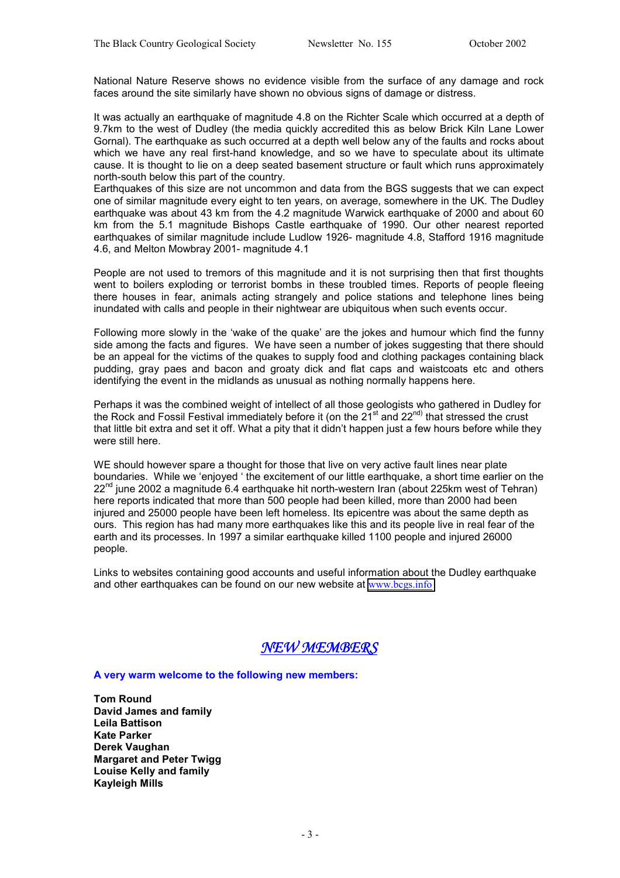National Nature Reserve shows no evidence visible from the surface of any damage and rock faces around the site similarly have shown no obvious signs of damage or distress.

It was actually an earthquake of magnitude 4.8 on the Richter Scale which occurred at a depth of 9.7km to the west of Dudley (the media quickly accredited this as below Brick Kiln Lane Lower Gornal). The earthquake as such occurred at a depth well below any of the faults and rocks about which we have any real first-hand knowledge, and so we have to speculate about its ultimate cause. It is thought to lie on a deep seated basement structure or fault which runs approximately north-south below this part of the country.

Earthquakes of this size are not uncommon and data from the BGS suggests that we can expect one of similar magnitude every eight to ten years, on average, somewhere in the UK. The Dudley earthquake was about 43 km from the 4.2 magnitude Warwick earthquake of 2000 and about 60 km from the 5.1 magnitude Bishops Castle earthquake of 1990. Our other nearest reported earthquakes of similar magnitude include Ludlow 1926- magnitude 4.8, Stafford 1916 magnitude 4.6, and Melton Mowbray 2001- magnitude 4.1

People are not used to tremors of this magnitude and it is not surprising then that first thoughts went to boilers exploding or terrorist bombs in these troubled times. Reports of people fleeing there houses in fear, animals acting strangely and police stations and telephone lines being inundated with calls and people in their nightwear are ubiquitous when such events occur.

Following more slowly in the 'wake of the quake' are the jokes and humour which find the funny side among the facts and figures. We have seen a number of jokes suggesting that there should be an appeal for the victims of the quakes to supply food and clothing packages containing black pudding, gray paes and bacon and groaty dick and flat caps and waistcoats etc and others identifying the event in the midlands as unusual as nothing normally happens here.

Perhaps it was the combined weight of intellect of all those geologists who gathered in Dudley for the Rock and Fossil Festival immediately before it (on the  $21^{st}$  and  $22^{nd}$ ) that stressed the crust that little bit extra and set it off. What a pity that it didn't happen just a few hours before while they were still here.

WE should however spare a thought for those that live on very active fault lines near plate boundaries. While we 'enjoyed ' the excitement of our little earthquake, a short time earlier on the  $22<sup>nd</sup>$  iune 2002 a magnitude 6.4 earthquake hit north-western Iran (about 225km west of Tehran) here reports indicated that more than 500 people had been killed, more than 2000 had been injured and 25000 people have been left homeless. Its epicentre was about the same depth as ours. This region has had many more earthquakes like this and its people live in real fear of the earth and its processes. In 1997 a similar earthquake killed 1100 people and injured 26000 people.

Links to websites containing good accounts and useful information about the Dudley earthquake and other earthquakes can be found on our new website at [www.bcgs.info](http://www.bcgs.info/)



**A very warm welcome to the following new members:** 

**Tom Round David James and family Leila Battison Kate Parker Derek Vaughan Margaret and Peter Twigg Louise Kelly and family Kayleigh Mills**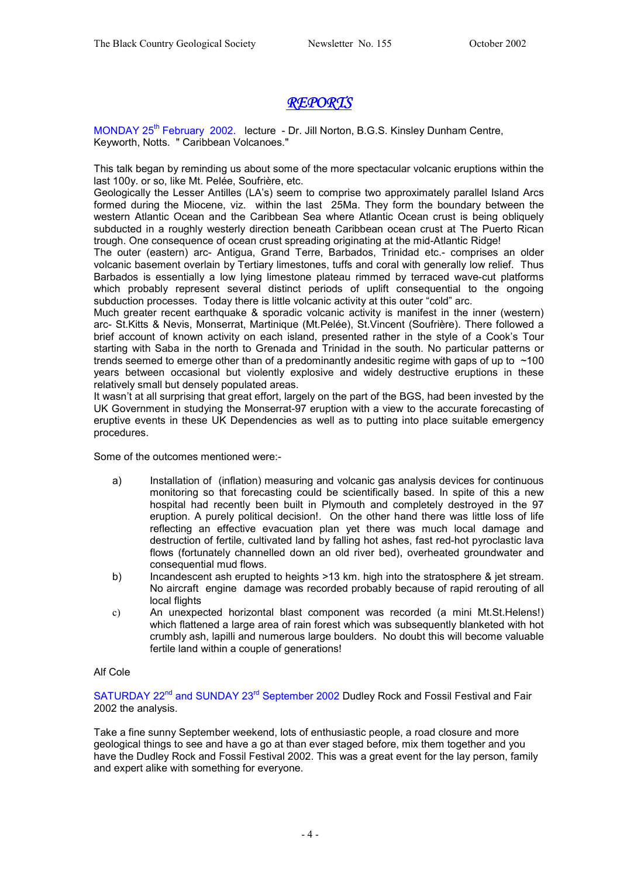## *REPORTS*

MONDAY 25<sup>th</sup> February 2002. lecture - Dr. Jill Norton, B.G.S. Kinsley Dunham Centre, Keyworth, Notts. " Caribbean Volcanoes."

This talk began by reminding us about some of the more spectacular volcanic eruptions within the last 100y. or so, like Mt. Pelée, Soufrière, etc.

Geologically the Lesser Antilles (LA's) seem to comprise two approximately parallel Island Arcs formed during the Miocene, viz. within the last 25Ma. They form the boundary between the western Atlantic Ocean and the Caribbean Sea where Atlantic Ocean crust is being obliquely subducted in a roughly westerly direction beneath Caribbean ocean crust at The Puerto Rican trough. One consequence of ocean crust spreading originating at the mid-Atlantic Ridge!

The outer (eastern) arc- Antigua, Grand Terre, Barbados, Trinidad etc.- comprises an older volcanic basement overlain by Tertiary limestones, tuffs and coral with generally low relief. Thus Barbados is essentially a low lying limestone plateau rimmed by terraced wave-cut platforms which probably represent several distinct periods of uplift consequential to the ongoing subduction processes. Today there is little volcanic activity at this outer "cold" arc.

Much greater recent earthquake & sporadic volcanic activity is manifest in the inner (western) arc- St.Kitts & Nevis, Monserrat, Martinique (Mt.Pelée), St.Vincent (Soufrière). There followed a brief account of known activity on each island, presented rather in the style of a Cook's Tour starting with Saba in the north to Grenada and Trinidad in the south. No particular patterns or trends seemed to emerge other than of a predominantly andesitic regime with gaps of up to  $\sim$ 100 years between occasional but violently explosive and widely destructive eruptions in these relatively small but densely populated areas.

It wasn't at all surprising that great effort, largely on the part of the BGS, had been invested by the UK Government in studying the Monserrat-97 eruption with a view to the accurate forecasting of eruptive events in these UK Dependencies as well as to putting into place suitable emergency procedures.

Some of the outcomes mentioned were:-

- a) Installation of (inflation) measuring and volcanic gas analysis devices for continuous monitoring so that forecasting could be scientifically based. In spite of this a new hospital had recently been built in Plymouth and completely destroyed in the 97 eruption. A purely political decision!. On the other hand there was little loss of life reflecting an effective evacuation plan yet there was much local damage and destruction of fertile, cultivated land by falling hot ashes, fast red-hot pyroclastic lava flows (fortunately channelled down an old river bed), overheated groundwater and consequential mud flows.
- b) Incandescent ash erupted to heights >13 km. high into the stratosphere & jet stream. No aircraft engine damage was recorded probably because of rapid rerouting of all local flights
- c) An unexpected horizontal blast component was recorded (a mini Mt.St.Helens!) which flattened a large area of rain forest which was subsequently blanketed with hot crumbly ash, lapilli and numerous large boulders. No doubt this will become valuable fertile land within a couple of generations!

#### Alf Cole

SATURDAY 22<sup>nd</sup> and SUNDAY 23<sup>rd</sup> September 2002 Dudley Rock and Fossil Festival and Fair 2002 the analysis.

Take a fine sunny September weekend, lots of enthusiastic people, a road closure and more geological things to see and have a go at than ever staged before, mix them together and you have the Dudley Rock and Fossil Festival 2002. This was a great event for the lay person, family and expert alike with something for everyone.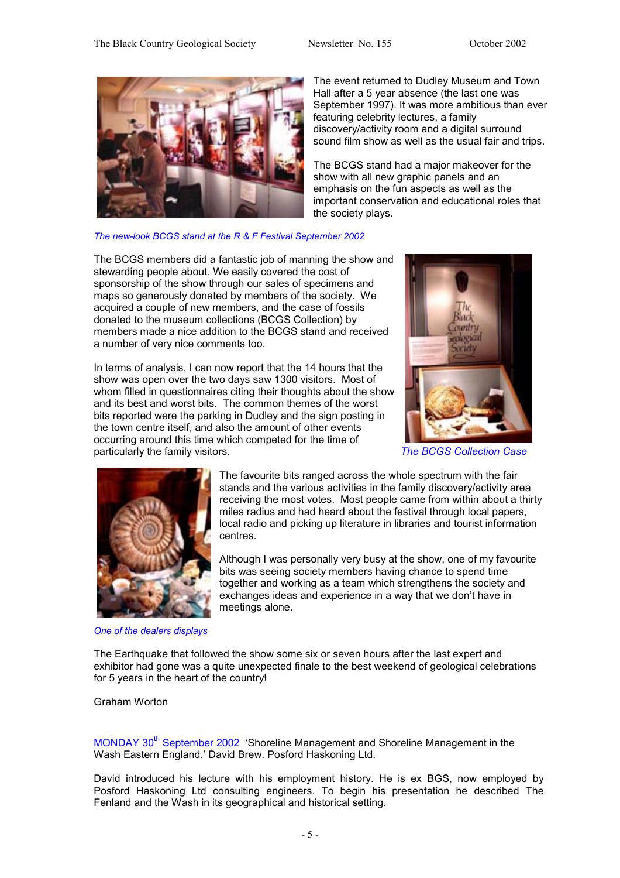

The event returned to Dudley Museum and Town Hall after a 5 year absence (the last one was September 1997). It was more ambitious than ever featuring celebrity lectures, a family discovery/activity room and a digital surround sound film show as well as the usual fair and trips.

The BCGS stand had a major makeover for the show with all new graphic panels and an emphasis on the fun aspects as well as the important conservation and educational roles that the society plays.

*The new-look BCGS stand at the R & F Festival September 2002* 

The BCGS members did a fantastic job of manning the show and stewarding people about. We easily covered the cost of sponsorship of the show through our sales of specimens and maps so generously donated by members of the society. We acquired a couple of new members, and the case of fossils donated to the museum collections (BCGS Collection) by members made a nice addition to the BCGS stand and received a number of very nice comments too.

In terms of analysis, I can now report that the 14 hours that the show was open over the two days saw 1300 visitors. Most of whom filled in questionnaires citing their thoughts about the show and its best and worst bits. The common themes of the worst bits reported were the parking in Dudley and the sign posting in the town centre itself, and also the amount of other events occurring around this time which competed for the time of particularly the family visitors. *The BCGS Collection Case* 





The favourite bits ranged across the whole spectrum with the fair stands and the various activities in the family discovery/activity area receiving the most votes. Most people came from within about a thirty miles radius and had heard about the festival through local papers, local radio and picking up literature in libraries and tourist information centres.

Although I was personally very busy at the show, one of my favourite bits was seeing society members having chance to spend time together and working as a team which strengthens the society and exchanges ideas and experience in a way that we don't have in meetings alone.

*One of the dealers displays*

The Earthquake that followed the show some six or seven hours after the last expert and exhibitor had gone was a quite unexpected finale to the best weekend of geological celebrations for 5 years in the heart of the country!

Graham Worton

MONDAY 30<sup>th</sup> September 2002 'Shoreline Management and Shoreline Management in the Wash Eastern England.' David Brew. Posford Haskoning Ltd.

David introduced his lecture with his employment history. He is ex BGS, now employed by Posford Haskoning Ltd consulting engineers. To begin his presentation he described The Fenland and the Wash in its geographical and historical setting.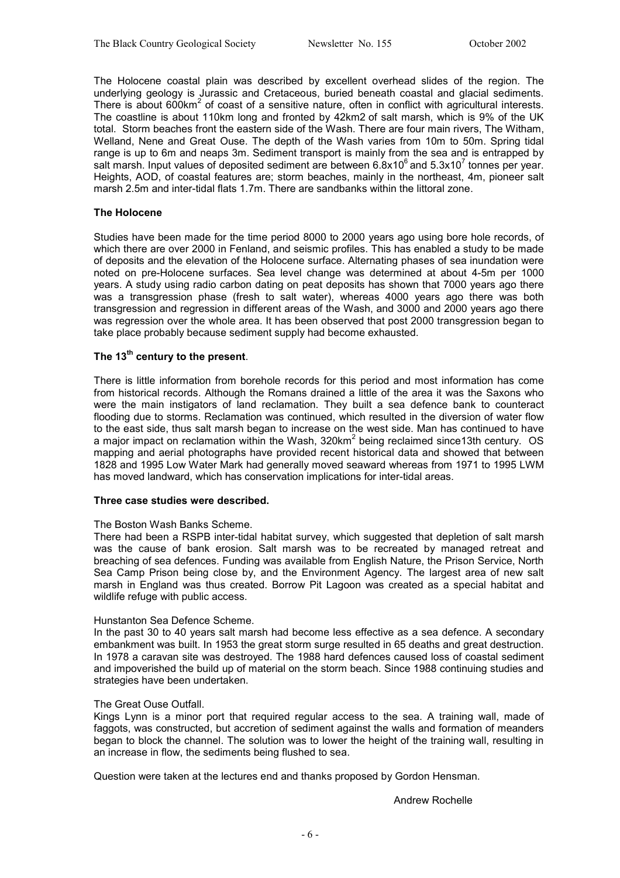The Holocene coastal plain was described by excellent overhead slides of the region. The underlying geology is Jurassic and Cretaceous, buried beneath coastal and glacial sediments. There is about  $600$ km<sup>2</sup> of coast of a sensitive nature, often in conflict with agricultural interests. The coastline is about 110km long and fronted by 42km2 of salt marsh, which is 9% of the UK total. Storm beaches front the eastern side of the Wash. There are four main rivers, The Witham, Welland, Nene and Great Ouse. The depth of the Wash varies from 10m to 50m. Spring tidal range is up to 6m and neaps 3m. Sediment transport is mainly from the sea and is entrapped by salt marsh. Input values of deposited sediment are between 6.8x10 $^6$  and 5.3x10<sup>7</sup> tonnes per year. Heights, AOD, of coastal features are; storm beaches, mainly in the northeast, 4m, pioneer salt marsh 2.5m and inter-tidal flats 1.7m. There are sandbanks within the littoral zone.

#### **The Holocene**

Studies have been made for the time period 8000 to 2000 years ago using bore hole records, of which there are over 2000 in Fenland, and seismic profiles. This has enabled a study to be made of deposits and the elevation of the Holocene surface. Alternating phases of sea inundation were noted on pre-Holocene surfaces. Sea level change was determined at about 4-5m per 1000 years. A study using radio carbon dating on peat deposits has shown that 7000 years ago there was a transgression phase (fresh to salt water), whereas 4000 years ago there was both transgression and regression in different areas of the Wash, and 3000 and 2000 years ago there was regression over the whole area. It has been observed that post 2000 transgression began to take place probably because sediment supply had become exhausted.

#### The 13<sup>th</sup> century to the present.

There is little information from borehole records for this period and most information has come from historical records. Although the Romans drained a little of the area it was the Saxons who were the main instigators of land reclamation. They built a sea defence bank to counteract flooding due to storms. Reclamation was continued, which resulted in the diversion of water flow to the east side, thus salt marsh began to increase on the west side. Man has continued to have a major impact on reclamation within the Wash, 320km<sup>2</sup> being reclaimed since13th century. OS mapping and aerial photographs have provided recent historical data and showed that between 1828 and 1995 Low Water Mark had generally moved seaward whereas from 1971 to 1995 LWM has moved landward, which has conservation implications for inter-tidal areas.

#### **Three case studies were described.**

#### The Boston Wash Banks Scheme.

There had been a RSPB inter-tidal habitat survey, which suggested that depletion of salt marsh was the cause of bank erosion. Salt marsh was to be recreated by managed retreat and breaching of sea defences. Funding was available from English Nature, the Prison Service, North Sea Camp Prison being close by, and the Environment Agency. The largest area of new salt marsh in England was thus created. Borrow Pit Lagoon was created as a special habitat and wildlife refuge with public access.

#### Hunstanton Sea Defence Scheme.

In the past 30 to 40 years salt marsh had become less effective as a sea defence. A secondary embankment was built. In 1953 the great storm surge resulted in 65 deaths and great destruction. In 1978 a caravan site was destroyed. The 1988 hard defences caused loss of coastal sediment and impoverished the build up of material on the storm beach. Since 1988 continuing studies and strategies have been undertaken.

#### The Great Ouse Outfall.

Kings Lynn is a minor port that required regular access to the sea. A training wall, made of faggots, was constructed, but accretion of sediment against the walls and formation of meanders began to block the channel. The solution was to lower the height of the training wall, resulting in an increase in flow, the sediments being flushed to sea.

Question were taken at the lectures end and thanks proposed by Gordon Hensman.

Andrew Rochelle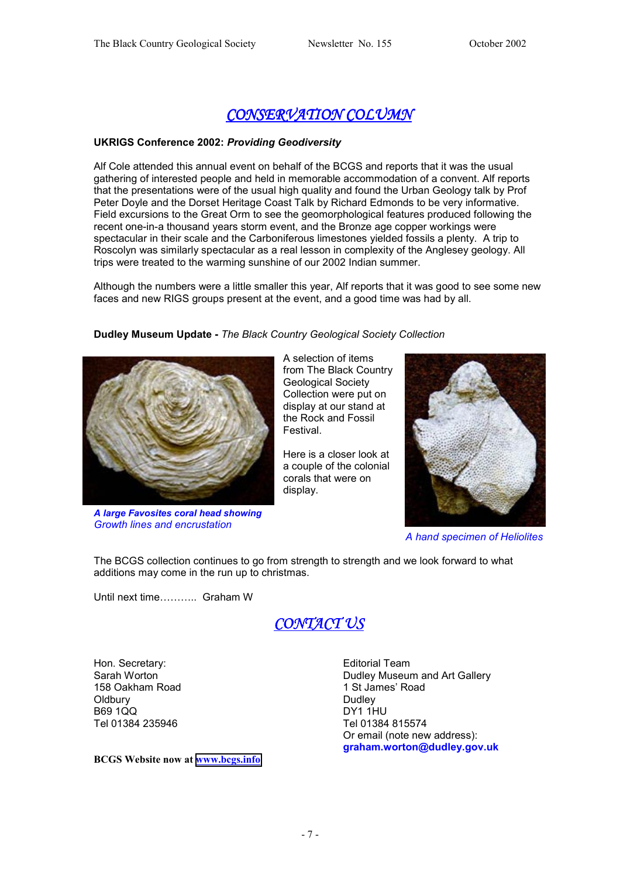## *CONSERVATION COLUMN*

#### **UKRIGS Conference 2002:** *Providing Geodiversity*

Alf Cole attended this annual event on behalf of the BCGS and reports that it was the usual gathering of interested people and held in memorable accommodation of a convent. Alf reports that the presentations were of the usual high quality and found the Urban Geology talk by Prof Peter Doyle and the Dorset Heritage Coast Talk by Richard Edmonds to be very informative. Field excursions to the Great Orm to see the geomorphological features produced following the recent one-in-a thousand years storm event, and the Bronze age copper workings were spectacular in their scale and the Carboniferous limestones yielded fossils a plenty. A trip to Roscolyn was similarly spectacular as a real lesson in complexity of the Anglesey geology. All trips were treated to the warming sunshine of our 2002 Indian summer.

Although the numbers were a little smaller this year, Alf reports that it was good to see some new faces and new RIGS groups present at the event, and a good time was had by all.

#### **Dudley Museum Update -** *The Black Country Geological Society Collection*



*A large Favosites coral head showing Growth lines and encrustation* 

A selection of items from The Black Country Geological Society Collection were put on display at our stand at the Rock and Fossil Festival.

Here is a closer look at a couple of the colonial corals that were on display.



 *A hand specimen of Heliolites* 

The BCGS collection continues to go from strength to strength and we look forward to what additions may come in the run up to christmas.

Until next time……….. Graham W



Hon. Secretary: Sarah Worton 158 Oakham Road **Oldbury** B69 1QQ Tel 01384 235946

**BCGS Website now at [www.bcgs.info](http://www.bcgs.info/)**

Editorial Team Dudley Museum and Art Gallery 1 St James' Road **Dudley** DY1 1HU Tel 01384 815574 Or email (note new address): **graham.worton@dudley.gov.uk**